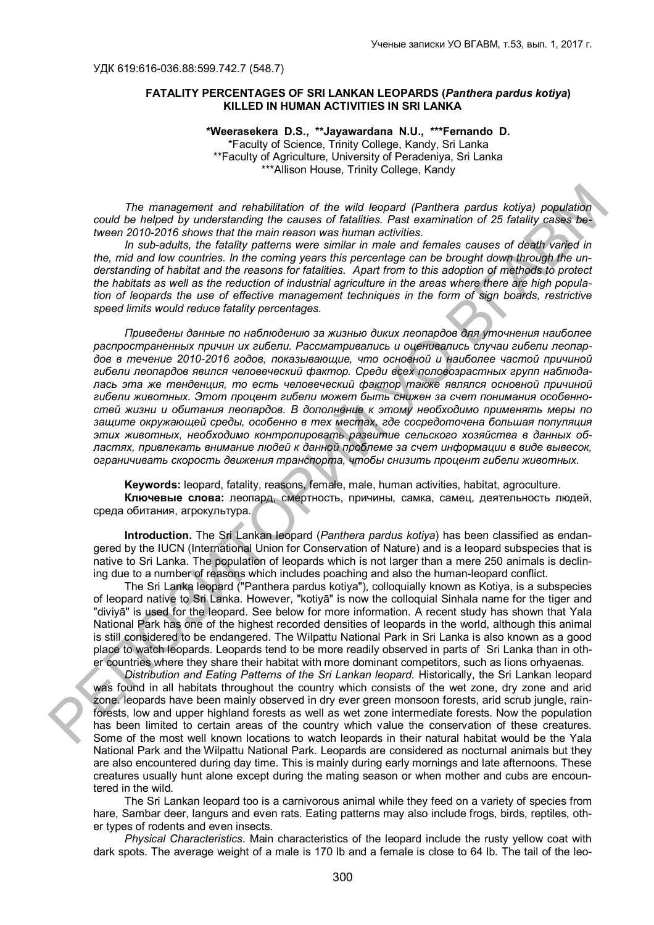## **FATALITY PERCENTAGES OF SRI LANKAN LEOPARDS (***Panthera pardus kotiya***) KILLED IN HUMAN ACTIVITIES IN SRI LANKA**

**\*Weerasekera D.S., \*\*Jayawardana N.U., \*\*\*Fernando D.** \*Faculty of Science, Trinity College, Kandy, Sri Lanka \*\*Faculty of Agriculture, University of Peradeniya, Sri Lanka \*\*\*Allison House, Trinity College, Kandy

*The management and rehabilitation of the wild leopard (Panthera pardus kotiya) population could be helped by understanding the causes of fatalities. Past examination of 25 fatality cases between 2010-2016 shows that the main reason was human activities.* 

*In sub-adults, the fatality patterns were similar in male and females causes of death varied in the, mid and low countries. In the coming years this percentage can be brought down through the understanding of habitat and the reasons for fatalities. Apart from to this adoption of methods to protect the habitats as well as the reduction of industrial agriculture in the areas where there are high population of leopards the use of effective management techniques in the form of sign boards, restrictive speed limits would reduce fatality percentages.*

*Приведены данные по наблюдению за жизнью диких леопардов для уточнения наиболее распространенных причин их гибели. Рассматривались и оценивались случаи гибели леопардов в течение 2010-2016 годов, показывающие, что основной и наиболее частой причиной гибели леопардов явился человеческий фактор. Среди всех половозрастных групп наблюдалась эта же тенденция, то есть человеческий фактор также являлся основной причиной гибели животных. Этот процент гибели может быть снижен за счет понимания особенностей жизни и обитания леопардов. В дополнение к этому необходимо применять меры по защите окружающей среды, особенно в тех местах, где сосредоточенa большая популяция этих животных, необходимо контролировать развитие сельского хозяйства в данных областях, привлекать внимание людей к данной проблеме за счет информации в виде вывесок, ограничивать скорость движения транспорта, чтобы снизить процент гибели животных.* The management and rehabiliation of the will leoperat (Panthera partis koliya) population<br>
could be helping by understanding the causes of fastless. Profit and teaching in could be helping by understanding to course of fa

**Keywords:** leopard, fatality, reasons, female, male, human activities, habitat, agroculture.

**Ключевые слова:** леопард, смертность, причины, самка, самец, деятельность людей, среда обитания, агрокультура.

**Introduction.** The Sri Lankan leopard (*Panthera pardus kotiya*) has been classified as endangered by the IUCN (International Union for Conservation of Nature) and is a leopard subspecies that is native to Sri Lanka. The population of leopards which is not larger than a mere 250 animals is declining due to a number of reasons which includes poaching and also the human-leopard conflict.

The Sri Lanka leopard ("Panthera pardus kotiya"), colloquially known as Kotiya, is a subspecies of leopard native to Sri Lanka. However, "kotiyā" is now the colloquial Sinhala name for the tiger and "diviyā" is used for the leopard. See below for more information. A recent study has shown that Yala National Park has one of the highest recorded densities of leopards in the world, although this animal is still considered to be endangered. The Wilpattu National Park in Sri Lanka is also known as a good place to watch leopards. Leopards tend to be more readily observed in parts of Sri Lanka than in other countries where they share their habitat with more dominant competitors, such as lions orhyaenas.

*Distribution and Eating Patterns of the Sri Lankan leopard.* Historically, the Sri Lankan leopard was found in all habitats throughout the country which consists of the wet zone, dry zone and arid zone. leopards have been mainly observed in dry ever green monsoon forests, arid scrub jungle, rainforests, low and upper highland forests as well as wet zone intermediate forests. Now the population has been limited to certain areas of the country which value the conservation of these creatures. Some of the most well known locations to watch leopards in their natural habitat would be the Yala National Park and the Wilpattu National Park. Leopards are considered as nocturnal animals but they are also encountered during day time. This is mainly during early mornings and late afternoons. These creatures usually hunt alone except during the mating season or when mother and cubs are encountered in the wild.

The Sri Lankan leopard too is a carnivorous animal while they feed on a variety of species from hare, Sambar deer, langurs and even rats. Eating patterns may also include frogs, birds, reptiles, other types of rodents and even insects.

*Physical Characteristics*. Main characteristics of the leopard include the rusty yellow coat with dark spots. The average weight of a male is 170 lb and a female is close to 64 lb. The tail of the leo-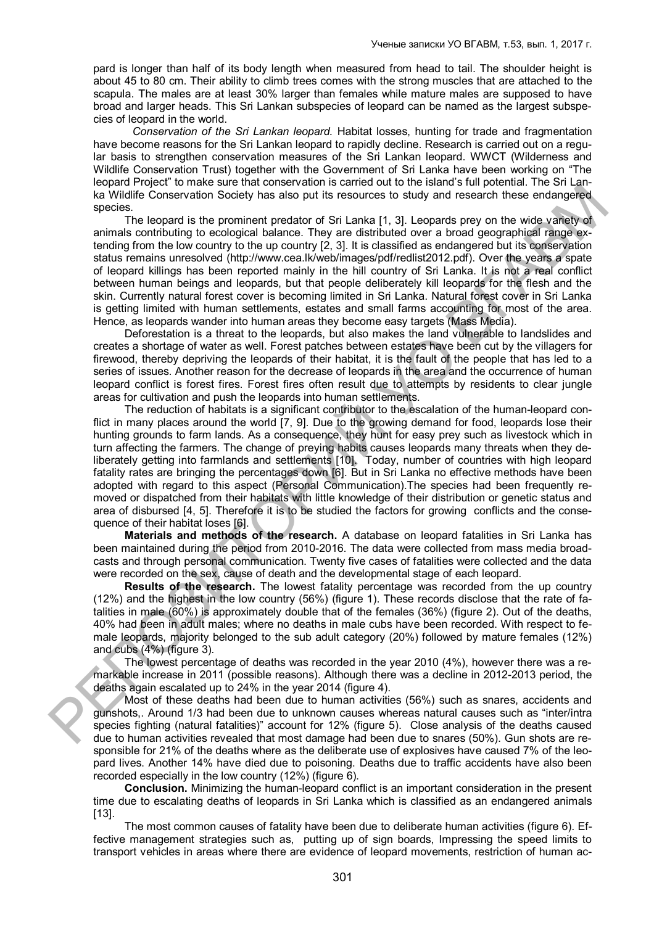pard is longer than half of its body length when measured from head to tail. The shoulder height is about 45 to 80 cm. Their ability to climb trees comes with the strong muscles that are attached to the scapula. The males are at least 30% larger than females while mature males are supposed to have broad and larger heads. This Sri Lankan subspecies of leopard can be named as the largest subspecies of leopard in the world.

*Conservation of the Sri Lankan leopard.* Habitat losses, hunting for trade and fragmentation have become reasons for the Sri Lankan leopard to rapidly decline. Research is carried out on a regular basis to strengthen conservation measures of the Sri Lankan leopard. WWCT (Wilderness and Wildlife Conservation Trust) together with the Government of Sri Lanka have been working on "The leopard Project" to make sure that conservation is carried out to the island's full potential. The Sri Lanka Wildlife Conservation Society has also put its resources to study and research these endangered species.

The leopard is the prominent predator of Sri Lanka [1, 3]. Leopards prey on the wide variety of animals contributing to ecological balance. They are distributed over a broad geographical range extending from the low country to the up country [2, 3]. It is classified as endangered but its conservation status remains unresolved (http://www.cea.lk/web/images/pdf/redlist2012.pdf). Over the years a spate of leopard killings has been reported mainly in the hill country of Sri Lanka. It is not a real conflict between human beings and leopards, but that people deliberately kill leopards for the flesh and the skin. Currently natural forest cover is becoming limited in Sri Lanka. Natural forest cover in Sri Lanka is getting limited with human settlements, estates and small farms accounting for most of the area. Hence, as leopards wander into human areas they become easy targets (Mass Media).

Deforestation is a threat to the leopards, but also makes the land vulnerable to landslides and creates a shortage of water as well. Forest patches between estates have been cut by the villagers for firewood, thereby depriving the leopards of their habitat, it is the fault of the people that has led to a series of issues. Another reason for the decrease of leopards in the area and the occurrence of human leopard conflict is forest fires. Forest fires often result due to attempts by residents to clear jungle areas for cultivation and push the leopards into human settlements.

The reduction of habitats is a significant contributor to the escalation of the human-leopard conflict in many places around the world [7, 9]. Due to the growing demand for food, leopards lose their hunting grounds to farm lands. As a consequence, they hunt for easy prey such as livestock which in turn affecting the farmers. The change of preying habits causes leopards many threats when they deliberately getting into farmlands and settlements [10]. Today, number of countries with high leopard fatality rates are bringing the percentages down [6]. But in Sri Lanka no effective methods have been adopted with regard to this aspect (Personal Communication).The species had been frequently removed or dispatched from their habitats with little knowledge of their distribution or genetic status and area of disbursed [4, 5]. Therefore it is to be studied the factors for growing conflicts and the consequence of their habitat loses [6]. HaWholf (actor to mean an entropy that also published a solenoid in the same of the properties are the symbol and the symbol and the symbol and the symbol and the symbol and the properties in the control of Sil Lanks 1;.

**Materials and methods of the research.** A database on leopard fatalities in Sri Lanka has been maintained during the period from 2010-2016. The data were collected from mass media broadcasts and through personal communication. Twenty five cases of fatalities were collected and the data were recorded on the sex, cause of death and the developmental stage of each leopard.

**Results of the research.** The lowest fatality percentage was recorded from the up country (12%) and the highest in the low country (56%) (figure 1). These records disclose that the rate of fatalities in male (60%) is approximately double that of the females (36%) (figure 2). Out of the deaths, 40% had been in adult males; where no deaths in male cubs have been recorded. With respect to female leopards, majority belonged to the sub adult category (20%) followed by mature females (12%) and cubs (4%) (figure 3).

The lowest percentage of deaths was recorded in the year 2010 (4%), however there was a remarkable increase in 2011 (possible reasons). Although there was a decline in 2012-2013 period, the deaths again escalated up to 24% in the year 2014 (figure 4).

Most of these deaths had been due to human activities (56%) such as snares, accidents and gunshots,. Around 1/3 had been due to unknown causes whereas natural causes such as "inter/intra species fighting (natural fatalities)" account for 12% (figure 5). Close analysis of the deaths caused due to human activities revealed that most damage had been due to snares (50%). Gun shots are responsible for 21% of the deaths where as the deliberate use of explosives have caused 7% of the leopard lives. Another 14% have died due to poisoning. Deaths due to traffic accidents have also been recorded especially in the low country (12%) (figure 6).

**Conclusion.** Minimizing the human-leopard conflict is an important consideration in the present time due to escalating deaths of leopards in Sri Lanka which is classified as an endangered animals [13].

The most common causes of fatality have been due to deliberate human activities (figure 6). Effective management strategies such as, putting up of sign boards, Impressing the speed limits to transport vehicles in areas where there are evidence of leopard movements, restriction of human ac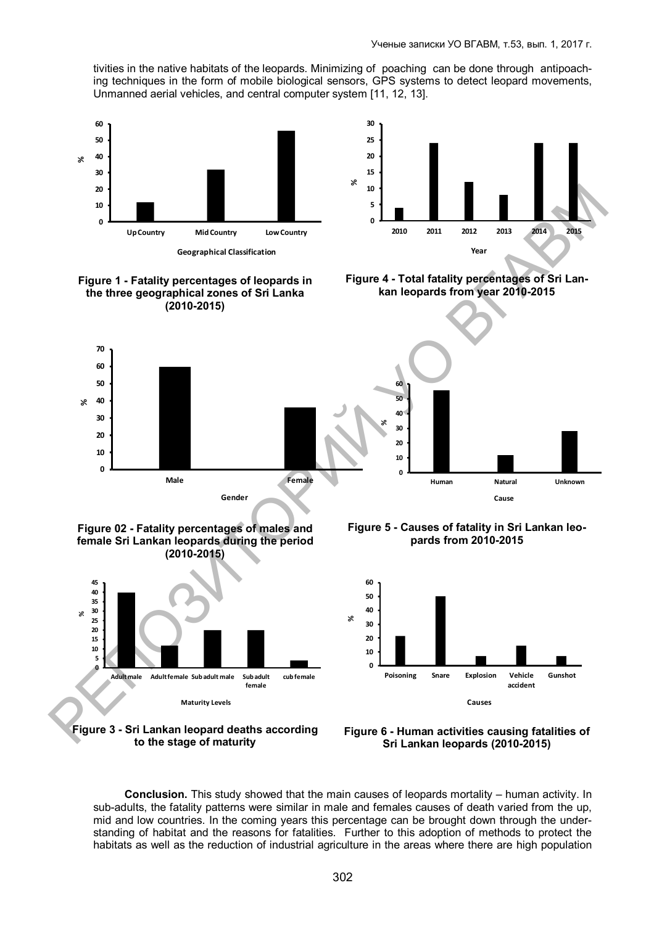tivities in the native habitats of the leopards. Minimizing of poaching can be done through antipoaching techniques in the form of mobile biological sensors, GPS systems to detect leopard movements, Unmanned aerial vehicles, and central computer system [11, 12, 13].







**Figure 4 - Total fatality percentages of Sri Lankan leopards from year 2010-2015**



**Figure 02 - Fatality percentages of males and female Sri Lankan leopards during the period (2010-2015)**

**Gender**

**%**



**Figure 3 - Sri Lankan leopard deaths according to the stage of maturity**

**Figure 5 - Causes of fatality in Sri Lankan leopards from 2010-2015**



**Figure 6 - Human activities causing fatalities of Sri Lankan leopards (2010-2015)**

**Conclusion.** This study showed that the main causes of leopards mortality – human activity. In sub-adults, the fatality patterns were similar in male and females causes of death varied from the up, mid and low countries. In the coming years this percentage can be brought down through the understanding of habitat and the reasons for fatalities. Further to this adoption of methods to protect the habitats as well as the reduction of industrial agriculture in the areas where there are high population